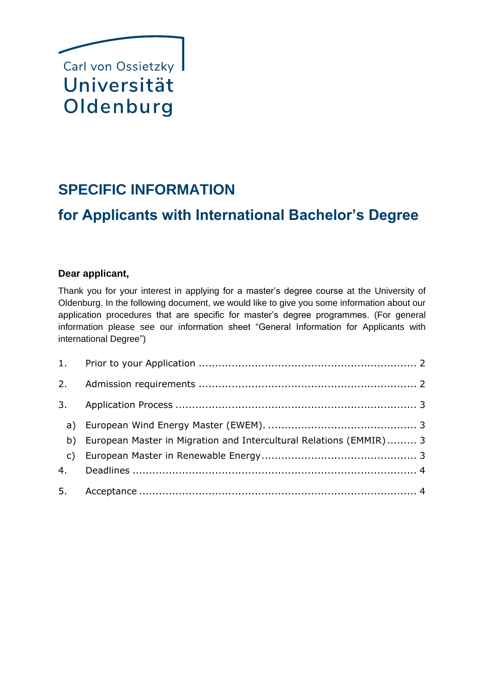

# **SPECIFIC INFORMATION**

# **for Applicants with International Bachelor's Degree**

# **Dear applicant,**

Thank you for your interest in applying for a master's degree course at the University of Oldenburg. In the following document, we would like to give you some information about our application procedures that are specific for master's degree programmes. (For general information please see our information sheet "General Information for Applicants with international Degree")

| b) European Master in Migration and Intercultural Relations (EMMIR) 3 |  |
|-----------------------------------------------------------------------|--|
|                                                                       |  |
|                                                                       |  |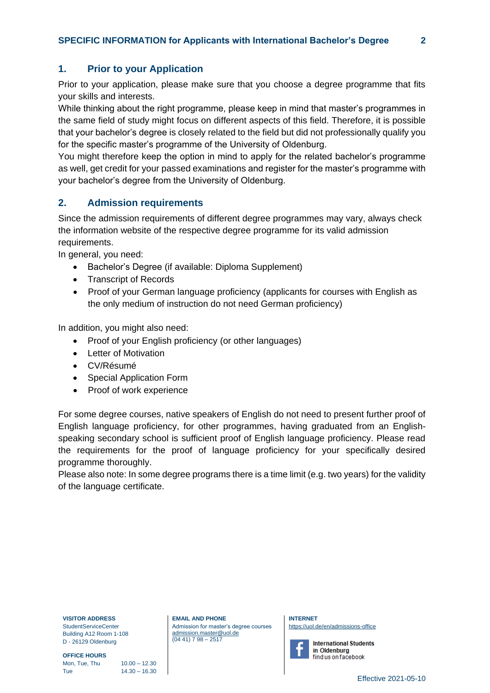# <span id="page-1-0"></span>**1. Prior to your Application**

Prior to your application, please make sure that you choose a degree programme that fits your skills and interests.

While thinking about the right programme, please keep in mind that master's programmes in the same field of study might focus on different aspects of this field. Therefore, it is possible that your bachelor's degree is closely related to the field but did not professionally qualify you for the specific master's programme of the University of Oldenburg.

You might therefore keep the option in mind to apply for the related bachelor's programme as well, get credit for your passed examinations and register for the master's programme with your bachelor's degree from the University of Oldenburg.

#### <span id="page-1-1"></span>**2. Admission requirements**

Since the admission requirements of different degree programmes may vary, always check the information website of the respective degree programme for its valid admission requirements.

In general, you need:

- Bachelor's Degree (if available: Diploma Supplement)
- Transcript of Records
- Proof of your German language proficiency (applicants for courses with English as the only medium of instruction do not need German proficiency)

In addition, you might also need:

- Proof of your English proficiency (or other languages)
- Letter of Motivation
- CV/Résumé
- Special Application Form
- Proof of work experience

For some degree courses, native speakers of English do not need to present further proof of English language proficiency, for other programmes, having graduated from an Englishspeaking secondary school is sufficient proof of English language proficiency. Please read the requirements for the proof of language proficiency for your specifically desired programme thoroughly.

Please also note: In some degree programs there is a time limit (e.g. two years) for the validity of the language certificate.

**VISITOR ADDRESS** StudentServiceCenter Building A12 Room 1-108

D - 26129 Oldenburg **OFFICE HOURS**

Mon, Tue, Thu  $10.00 - 12.30$ Tue 14.30 – 16.30 **EMAIL AND PHONE** Admission for master's degree courses [admission.master@uol.de](mailto:admission.master@uol.de) (04 41) 7 98 – 2517

**INTERNET** <https://uol.de/en/admissions-office>



**International Students** in Oldenburg find us on facebook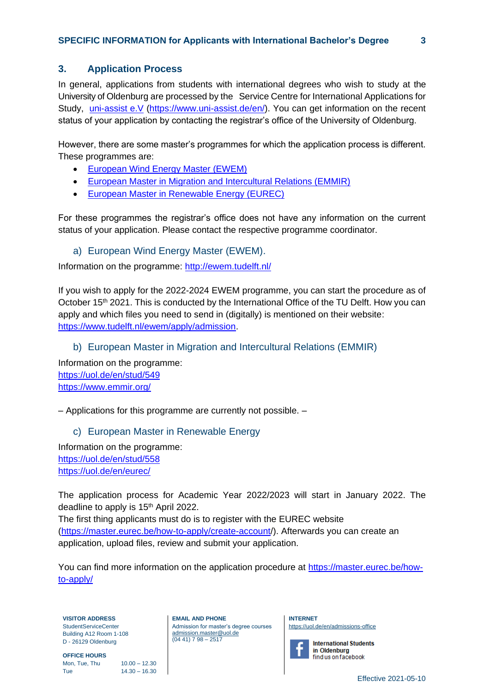# <span id="page-2-0"></span>**3. Application Process**

In general, applications from students with international degrees who wish to study at the University of Oldenburg are processed by the Service Centre for International Applications for Study, [uni-assist](https://www.uni-assist.de/en/) e.V (https://www.uni-assist.de/en/). You can get information on the recent status of your application by contacting the registrar's office of the University of Oldenburg.

However, there are some master's programmes for which the application process is different. These programmes are:

- [European Wind Energy Master \(EWEM\)](http://ewem.tudelft.nl/)
- [European Master in Migration and Intercultural Relations \(EMMIR\)](https://uol.de/en/students/course-of-study?id_studg=549)
- [European Master in Renewable Energy \(EUREC\)](https://uol.de/en/students/course-of-study?id_studg=558)

For these programmes the registrar's office does not have any information on the current status of your application. Please contact the respective programme coordinator.

<span id="page-2-1"></span>a) European Wind Energy Master (EWEM).

Information on the programme:<http://ewem.tudelft.nl/>

If you wish to apply for the 2022-2024 EWEM programme, you can start the procedure as of October 15<sup>th</sup> 2021. This is conducted by the International Office of the TU Delft. How you can apply and which files you need to send in (digitally) is mentioned on their website: [https://www.tudelft.nl/ewem/apply/admission.](https://www.tudelft.nl/ewem/apply/admission)

<span id="page-2-2"></span>b) European Master in Migration and Intercultural Relations (EMMIR)

Information on the programme: <https://uol.de/en/stud/549> <https://www.emmir.org/>

<span id="page-2-3"></span>– Applications for this programme are currently not possible. –

application, upload files, review and submit your application.

# c) European Master in Renewable Energy

Information on the programme: <https://uol.de/en/stud/558> <https://uol.de/en/eurec/>

The application process for Academic Year 2022/2023 will start in January 2022. The deadline to apply is 15<sup>th</sup> April 2022. The first thing applicants must do is to register with the EUREC website [\(https://master.eurec.be/how-to-apply/create-account/](https://master.eurec.be/how-to-apply/create-account/)). Afterwards you can create an

You can find more information on the application procedure at [https://master.eurec.be/how](https://master.eurec.be/how-to-apply/create-account/)[to-apply/](https://master.eurec.be/how-to-apply/create-account/)

**VISITOR ADDRESS** StudentServiceCenter Building A12 Room 1-108 D - 26129 Oldenburg

**OFFICE HOURS** Mon, Tue, Thu  $10.00 - 12.30$ Tue 14.30 – 16.30 **EMAIL AND PHONE** Admission for master's degree courses [admission.master@uol.de](mailto:admission.master@uol.de) (04 41) 7 98 – 2517

**INTERNET** <https://uol.de/en/admissions-office>

**International Students** in Oldenburg find us on facebook